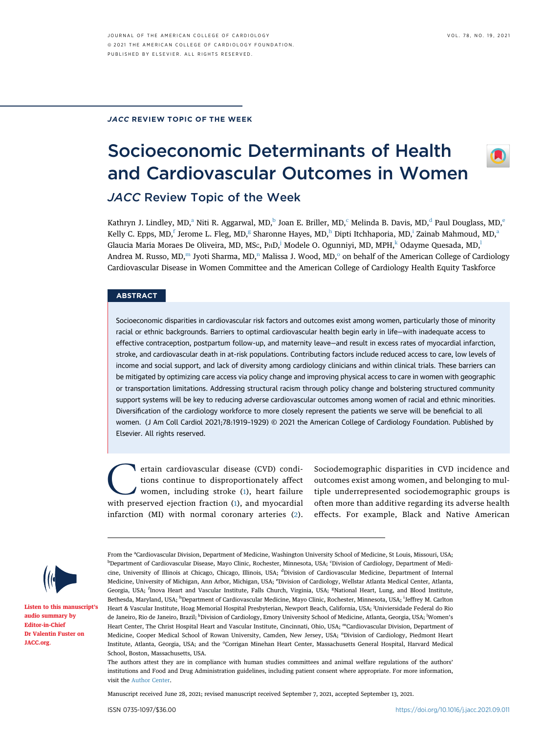## JACC REVIEW TOPIC OF THE WEEK

# Socioeconomic Determinants of Health and Cardiovascular Outcomes in Women JACC Review Topic of the Week

K[a](#page-0-0)thryn J. Lindley, MD,<sup>a</sup> Niti R. Aggarwal, MD,<sup>[b](#page-0-0)</sup> Joan E. Briller, MD,<sup>c</sup> Melin[d](#page-0-2)a B. Davis, MD,<sup>d</sup> Paul Douglass, MD,<sup>[e](#page-0-3)</sup> Kelly C. Epps, MD,<sup>[f](#page-0-4)</sup> Jerome L. Fle[g](#page-0-4), MD,<sup>g</sup> S[h](#page-0-5)[a](#page-0-0)ronne Hayes, MD,<sup>h</sup> Dipti Itchhaporia, MD,<sup>i</sup> Zainab Mahmoud, MD,<sup>a</sup> G[l](#page-0-7)aucia Maria Moraes De Oliveira, MD, MSc, P $HD<sub>s</sub>$ <sup>1</sup> Modele O. Ogunniyi, MD, MPH,  $k$  Odayme Quesada, MD, Andrea M. Russo, MD,<sup>[m](#page-0-8)</sup> Jyoti Sharma, MD,<sup>[n](#page-0-9)</sup> Malissa J. W[o](#page-0-10)od, MD, $\degree$  on behalf of the American College of Cardiology Cardiovascular Disease in Women Committee and the American College of Cardiology Health Equity Taskforce

## **ABSTRACT**

Socioeconomic disparities in cardiovascular risk factors and outcomes exist among women, particularly those of minority racial or ethnic backgrounds. Barriers to optimal cardiovascular health begin early in life—with inadequate access to effective contraception, postpartum follow-up, and maternity leave—and result in excess rates of myocardial infarction, stroke, and cardiovascular death in at-risk populations. Contributing factors include reduced access to care, low levels of income and social support, and lack of diversity among cardiology clinicians and within clinical trials. These barriers can be mitigated by optimizing care access via policy change and improving physical access to care in women with geographic or transportation limitations. Addressing structural racism through policy change and bolstering structured community support systems will be key to reducing adverse cardiovascular outcomes among women of racial and ethnic minorities. Diversification of the cardiology workforce to more closely represent the patients we serve will be beneficial to all women. (J Am Coll Cardiol 2021;78:1919–1929) © 2021 the American College of Cardiology Foundation. Published by Elsevier. All rights reserved.

**C**ertain cardiovascular disease (CVD) conditions continue to disproportionately affect women, including stroke (1), heart failure with preserved ejection fraction (1), and myocardial tions continue to disproportionately affect women, including stroke [\(1](#page-7-0)), heart failure with preserved ejection fraction ([1](#page-7-0)), and myocardial infarction (MI) with normal coronary arteries [\(2\)](#page-7-1).

Sociodemographic disparities in CVD incidence and outcomes exist among women, and belonging to multiple underrepresented sociodemographic groups is often more than additive regarding its adverse health effects. For example, Black and Native American



[Listen to this manuscript](http://www.onlinejacc.org/podcasts)'s [audio summary by](http://www.onlinejacc.org/podcasts) [Editor-in-Chief](http://www.onlinejacc.org/podcasts) [Dr Valentin Fuster on](http://www.onlinejacc.org/podcasts) [JACC.org](http://www.onlinejacc.org).

Manuscript received June 28, 2021; revised manuscript received September 7, 2021, accepted September 13, 2021.

<span id="page-0-6"></span><span id="page-0-5"></span><span id="page-0-4"></span><span id="page-0-3"></span><span id="page-0-2"></span><span id="page-0-1"></span><span id="page-0-0"></span>From the <sup>a</sup>Cardiovascular Division, Department of Medicine, Washington University School of Medicine, St Louis, Missouri, USA; <sup>b</sup>Department of Cardiovascular Disease, Mayo Clinic, Rochester, Minnesota, USA; 'Division of Cardiology, Department of Medicine, University of Illinois at Chicago, Chicago, Illinois, USA; <sup>d</sup>Division of Cardiovascular Medicine, Department of Internal Medicine, University of Michigan, Ann Arbor, Michigan, USA; <sup>e</sup>Division of Cardiology, Wellstar Atlanta Medical Center, Atlanta, Georgia, USA; <sup>f</sup>Inova Heart and Vascular Institute, Falls Church, Virginia, USA; <sup>g</sup>National Heart, Lung, and Blood Institute, Bethesda, Maryland, USA; <sup>h</sup>Department of Cardiovascular Medicine, Mayo Clinic, Rochester, Minnesota, USA; <sup>i</sup>Jeffrey M. Carlton Heart & Vascular Institute, Hoag Memorial Hospital Presbyterian, Newport Beach, California, USA; <sup>j</sup> Univiersidade Federal do Rio de Janeiro, Rio de Janeiro, Brazil; <sup>k</sup>Division of Cardiology, Emory University School of Medicine, Atlanta, Georgia, USA; <sup>l</sup>Women's Heart Center, The Christ Hospital Heart and Vascular Institute, Cincinnati, Ohio, USA; <sup>m</sup>Cardiovascular Division, Department of Medicine, Cooper Medical School of Rowan University, Camden, New Jersey, USA; <sup>n</sup>Division of Cardiology, Piedmont Heart Institute, Atlanta, Georgia, USA; and the °Corrigan Minehan Heart Center, Massachusetts General Hospital, Harvard Medical School, Boston, Massachusetts, USA.

<span id="page-0-10"></span><span id="page-0-9"></span><span id="page-0-8"></span><span id="page-0-7"></span>The authors attest they are in compliance with human studies committees and animal welfare regulations of the authors' institutions and Food and Drug Administration guidelines, including patient consent where appropriate. For more information, visit the [Author Center](https://www.jacc.org/author-center).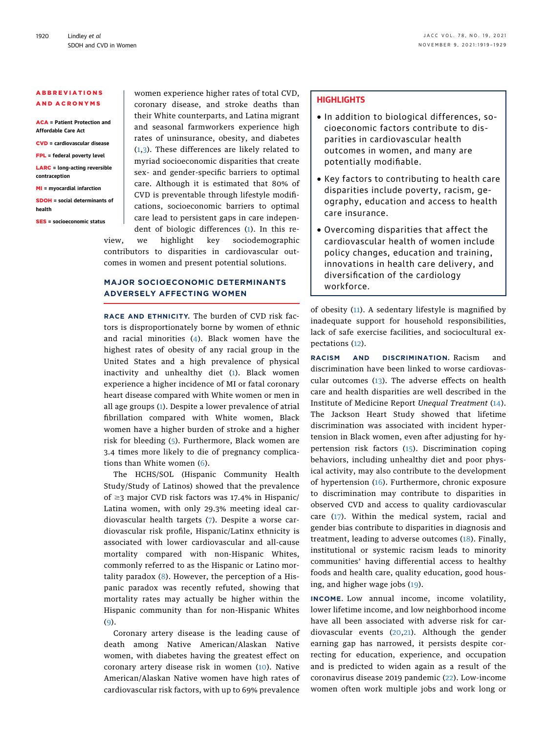## ABBREVIATIONS AND ACRONYMS

ACA = Patient Protection and Affordable Care Act CVD = cardiovascular disease FPL = federal poverty level

#### LARC = long-acting reversible contraception

MI = myocardial infarction

SDOH = social determinants of health

SES = socioeconomic status

women experience higher rates of total CVD, coronary disease, and stroke deaths than their White counterparts, and Latina migrant and seasonal farmworkers experience high rates of uninsurance, obesity, and diabetes ([1](#page-7-0),[3](#page-7-2)). These differences are likely related to myriad socioeconomic disparities that create sex- and gender-specific barriers to optimal care. Although it is estimated that 80% of CVD is preventable through lifestyle modifications, socioeconomic barriers to optimal care lead to persistent gaps in care independent of biologic differences ([1\)](#page-7-0). In this review, we highlight key sociodemographic contributors to disparities in cardiovascular outcomes in women and present potential solutions.

# MAJOR SOCIOECONOMIC DETERMINANTS ADVERSELY AFFECTING WOMEN

RACE AND ETHNICITY. The burden of CVD risk factors is disproportionately borne by women of ethnic and racial minorities ([4\)](#page-7-3). Black women have the highest rates of obesity of any racial group in the United States and a high prevalence of physical inactivity and unhealthy diet ([1](#page-7-0)). Black women experience a higher incidence of MI or fatal coronary heart disease compared with White women or men in all age groups [\(1\)](#page-7-0). Despite a lower prevalence of atrial fibrillation compared with White women, Black women have a higher burden of stroke and a higher risk for bleeding ([5\)](#page-7-4). Furthermore, Black women are 3.4 times more likely to die of pregnancy complications than White women ([6](#page-7-5)).

The HCHS/SOL (Hispanic Community Health Study/Study of Latinos) showed that the prevalence of  $\geq$ 3 major CVD risk factors was 17.4% in Hispanic/ Latina women, with only 29.3% meeting ideal cardiovascular health targets ([7](#page-7-6)). Despite a worse cardiovascular risk profile, Hispanic/Latinx ethnicity is associated with lower cardiovascular and all-cause mortality compared with non-Hispanic Whites, commonly referred to as the Hispanic or Latino mortality paradox ([8\)](#page-7-7). However, the perception of a Hispanic paradox was recently refuted, showing that mortality rates may actually be higher within the Hispanic community than for non-Hispanic Whites ([9](#page-7-8)).

Coronary artery disease is the leading cause of death among Native American/Alaskan Native women, with diabetes having the greatest effect on coronary artery disease risk in women ([10](#page-7-9)). Native American/Alaskan Native women have high rates of cardiovascular risk factors, with up to 69% prevalence

## **HIGHLIGHTS**

- In addition to biological differences, socioeconomic factors contribute to disparities in cardiovascular health outcomes in women, and many are potentially modifiable.
- Key factors to contributing to health care disparities include poverty, racism, geography, education and access to health care insurance.
- Overcoming disparities that affect the cardiovascular health of women include policy changes, education and training, innovations in health care delivery, and diversification of the cardiology workforce.

of obesity ([11](#page-7-10)). A sedentary lifestyle is magnified by inadequate support for household responsibilities, lack of safe exercise facilities, and sociocultural expectations ([12](#page-8-0)).

RACISM AND DISCRIMINATION. Racism and discrimination have been linked to worse cardiovascular outcomes  $(13)$  $(13)$ . The adverse effects on health care and health disparities are well described in the Institute of Medicine Report Unequal Treatment [\(14\)](#page-8-2). The Jackson Heart Study showed that lifetime discrimination was associated with incident hypertension in Black women, even after adjusting for hy-pertension risk factors ([15\)](#page-8-3). Discrimination coping behaviors, including unhealthy diet and poor physical activity, may also contribute to the development of hypertension ([16\)](#page-8-4). Furthermore, chronic exposure to discrimination may contribute to disparities in observed CVD and access to quality cardiovascular care ([17](#page-8-5)). Within the medical system, racial and gender bias contribute to disparities in diagnosis and treatment, leading to adverse outcomes ([18\)](#page-8-6). Finally, institutional or systemic racism leads to minority communities' having differential access to healthy foods and health care, quality education, good housing, and higher wage jobs [\(19\)](#page-8-7).

INCOME. Low annual income, income volatility, lower lifetime income, and low neighborhood income have all been associated with adverse risk for cardiovascular events ([20](#page-8-8),[21\)](#page-8-9). Although the gender earning gap has narrowed, it persists despite correcting for education, experience, and occupation and is predicted to widen again as a result of the coronavirus disease 2019 pandemic ([22\)](#page-8-10). Low-income women often work multiple jobs and work long or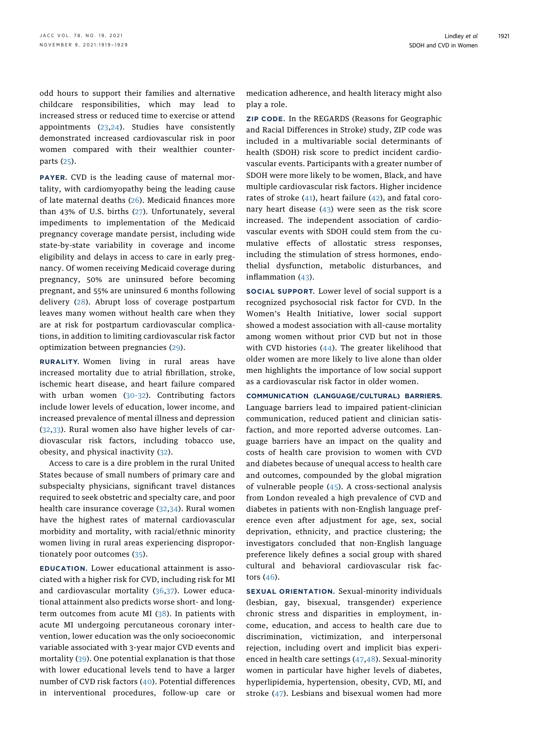odd hours to support their families and alternative childcare responsibilities, which may lead to increased stress or reduced time to exercise or attend appointments ([23,](#page-8-11)[24](#page-8-12)). Studies have consistently demonstrated increased cardiovascular risk in poor women compared with their wealthier counterparts ([25](#page-8-13)).

PAYER. CVD is the leading cause of maternal mortality, with cardiomyopathy being the leading cause of late maternal deaths [\(26](#page-8-14)). Medicaid finances more than 43% of U.S. births ([27\)](#page-8-15). Unfortunately, several impediments to implementation of the Medicaid pregnancy coverage mandate persist, including wide state-by-state variability in coverage and income eligibility and delays in access to care in early pregnancy. Of women receiving Medicaid coverage during pregnancy, 50% are uninsured before becoming pregnant, and 55% are uninsured 6 months following delivery ([28](#page-8-16)). Abrupt loss of coverage postpartum leaves many women without health care when they are at risk for postpartum cardiovascular complications, in addition to limiting cardiovascular risk factor optimization between pregnancies ([29](#page-8-17)).

RURALITY. Women living in rural areas have increased mortality due to atrial fibrillation, stroke, ischemic heart disease, and heart failure compared with urban women ([30-32](#page-8-18)). Contributing factors include lower levels of education, lower income, and increased prevalence of mental illness and depression ([32](#page-8-19),[33](#page-8-20)). Rural women also have higher levels of cardiovascular risk factors, including tobacco use, obesity, and physical inactivity ([32](#page-8-19)).

Access to care is a dire problem in the rural United States because of small numbers of primary care and subspecialty physicians, significant travel distances required to seek obstetric and specialty care, and poor health care insurance coverage ([32](#page-8-19),[34](#page-8-21)). Rural women have the highest rates of maternal cardiovascular morbidity and mortality, with racial/ethnic minority women living in rural areas experiencing disproportionately poor outcomes ([35\)](#page-8-22).

EDUCATION. Lower educational attainment is associated with a higher risk for CVD, including risk for MI and cardiovascular mortality ([36](#page-8-23),[37](#page-8-24)). Lower educational attainment also predicts worse short- and longterm outcomes from acute MI  $(38)$  $(38)$ . In patients with acute MI undergoing percutaneous coronary intervention, lower education was the only socioeconomic variable associated with 3-year major CVD events and mortality ([39\)](#page-8-26). One potential explanation is that those with lower educational levels tend to have a larger number of CVD risk factors ([40\)](#page-8-27). Potential differences in interventional procedures, follow-up care or medication adherence, and health literacy might also play a role.

ZIP CODE. In the REGARDS (Reasons for Geographic and Racial Differences in Stroke) study, ZIP code was included in a multivariable social determinants of health (SDOH) risk score to predict incident cardiovascular events. Participants with a greater number of SDOH were more likely to be women, Black, and have multiple cardiovascular risk factors. Higher incidence rates of stroke ([41](#page-8-28)), heart failure ([42](#page-8-29)), and fatal coronary heart disease ([43](#page-8-30)) were seen as the risk score increased. The independent association of cardiovascular events with SDOH could stem from the cumulative effects of allostatic stress responses, including the stimulation of stress hormones, endothelial dysfunction, metabolic disturbances, and inflammation [\(43\)](#page-8-30).

SOCIAL SUPPORT. Lower level of social support is a recognized psychosocial risk factor for CVD. In the Women's Health Initiative, lower social support showed a modest association with all-cause mortality among women without prior CVD but not in those with CVD histories ([44\)](#page-8-31). The greater likelihood that older women are more likely to live alone than older men highlights the importance of low social support as a cardiovascular risk factor in older women.

COMMUNICATION (LANGUAGE/CULTURAL) BARRIERS. Language barriers lead to impaired patient-clinician communication, reduced patient and clinician satisfaction, and more reported adverse outcomes. Language barriers have an impact on the quality and costs of health care provision to women with CVD and diabetes because of unequal access to health care and outcomes, compounded by the global migration of vulnerable people ([45](#page-8-32)). A cross-sectional analysis from London revealed a high prevalence of CVD and diabetes in patients with non-English language preference even after adjustment for age, sex, social deprivation, ethnicity, and practice clustering; the investigators concluded that non-English language preference likely defines a social group with shared cultural and behavioral cardiovascular risk factors [\(46](#page-8-33)).

SEXUAL ORIENTATION. Sexual-minority individuals (lesbian, gay, bisexual, transgender) experience chronic stress and disparities in employment, income, education, and access to health care due to discrimination, victimization, and interpersonal rejection, including overt and implicit bias experienced in health care settings ([47](#page-8-34),[48\)](#page-8-35). Sexual-minority women in particular have higher levels of diabetes, hyperlipidemia, hypertension, obesity, CVD, MI, and stroke ([47](#page-8-34)). Lesbians and bisexual women had more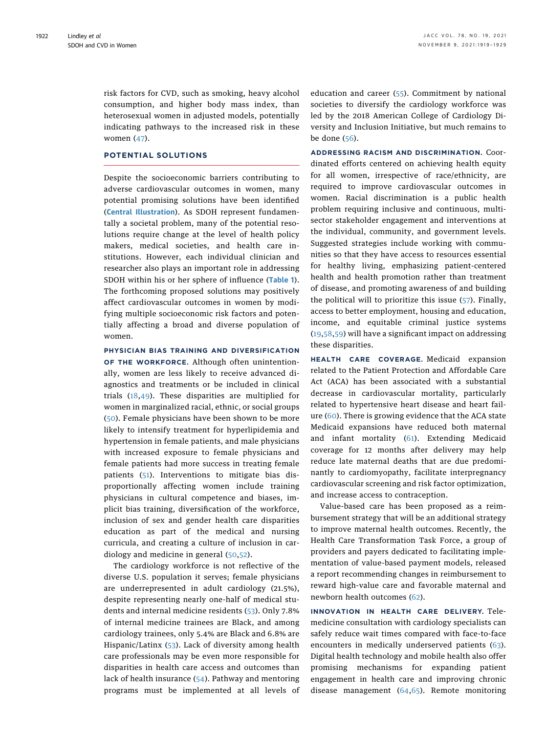risk factors for CVD, such as smoking, heavy alcohol consumption, and higher body mass index, than heterosexual women in adjusted models, potentially indicating pathways to the increased risk in these women ([47\)](#page-8-34).

## POTENTIAL SOLUTIONS

Despite the socioeconomic barriers contributing to adverse cardiovascular outcomes in women, many potential promising solutions have been identified ([Central Illustration](#page-4-0)). As SDOH represent fundamentally a societal problem, many of the potential resolutions require change at the level of health policy makers, medical societies, and health care institutions. However, each individual clinician and researcher also plays an important role in addressing SDOH within his or her sphere of influence ([Table 1](#page-5-0)). The forthcoming proposed solutions may positively affect cardiovascular outcomes in women by modifying multiple socioeconomic risk factors and potentially affecting a broad and diverse population of women.

PHYSICIAN BIAS TRAINING AND DIVERSIFICATION OF THE WORKFORCE. Although often unintentionally, women are less likely to receive advanced diagnostics and treatments or be included in clinical trials [\(18](#page-8-6)[,49](#page-8-36)). These disparities are multiplied for women in marginalized racial, ethnic, or social groups ([50\)](#page-8-37). Female physicians have been shown to be more likely to intensify treatment for hyperlipidemia and hypertension in female patients, and male physicians with increased exposure to female physicians and female patients had more success in treating female patients ([51\)](#page-8-38). Interventions to mitigate bias disproportionally affecting women include training physicians in cultural competence and biases, implicit bias training, diversification of the workforce, inclusion of sex and gender health care disparities education as part of the medical and nursing curricula, and creating a culture of inclusion in cardiology and medicine in general ([50](#page-8-37),[52](#page-8-39)).

The cardiology workforce is not reflective of the diverse U.S. population it serves; female physicians are underrepresented in adult cardiology (21.5%), despite representing nearly one-half of medical students and internal medicine residents ([53](#page-8-40)). Only 7.8% of internal medicine trainees are Black, and among cardiology trainees, only 5.4% are Black and 6.8% are Hispanic/Latinx ([53\)](#page-8-40). Lack of diversity among health care professionals may be even more responsible for disparities in health care access and outcomes than lack of health insurance ([54](#page-8-41)). Pathway and mentoring programs must be implemented at all levels of education and career ([55](#page-9-0)). Commitment by national societies to diversify the cardiology workforce was led by the 2018 American College of Cardiology Diversity and Inclusion Initiative, but much remains to be done [\(56](#page-9-1)).

ADDRESSING RACISM AND DISCRIMINATION. Coordinated efforts centered on achieving health equity for all women, irrespective of race/ethnicity, are required to improve cardiovascular outcomes in women. Racial discrimination is a public health problem requiring inclusive and continuous, multisector stakeholder engagement and interventions at the individual, community, and government levels. Suggested strategies include working with communities so that they have access to resources essential for healthy living, emphasizing patient-centered health and health promotion rather than treatment of disease, and promoting awareness of and building the political will to prioritize this issue ([57](#page-9-2)). Finally, access to better employment, housing and education, income, and equitable criminal justice systems ([19](#page-8-7),[58,](#page-9-3)[59](#page-9-4)) will have a significant impact on addressing these disparities.

HEALTH CARE COVERAGE. Medicaid expansion related to the Patient Protection and Affordable Care Act (ACA) has been associated with a substantial decrease in cardiovascular mortality, particularly related to hypertensive heart disease and heart failure ([60](#page-9-5)). There is growing evidence that the ACA state Medicaid expansions have reduced both maternal and infant mortality ([61](#page-9-6)). Extending Medicaid coverage for 12 months after delivery may help reduce late maternal deaths that are due predominantly to cardiomyopathy, facilitate interpregnancy cardiovascular screening and risk factor optimization, and increase access to contraception.

Value-based care has been proposed as a reimbursement strategy that will be an additional strategy to improve maternal health outcomes. Recently, the Health Care Transformation Task Force, a group of providers and payers dedicated to facilitating implementation of value-based payment models, released a report recommending changes in reimbursement to reward high-value care and favorable maternal and newborn health outcomes ([62\)](#page-9-7).

INNOVATION IN HEALTH CARE DELIVERY. Telemedicine consultation with cardiology specialists can safely reduce wait times compared with face-to-face encounters in medically underserved patients ([63\)](#page-9-8). Digital health technology and mobile health also offer promising mechanisms for expanding patient engagement in health care and improving chronic disease management ([64,](#page-9-9)[65](#page-9-10)). Remote monitoring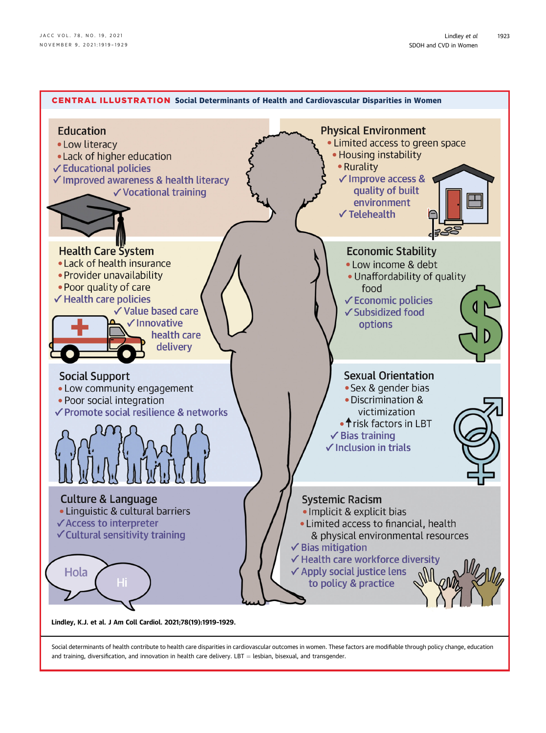<span id="page-4-0"></span>

Social determinants of health contribute to health care disparities in cardiovascular outcomes in women. These factors are modifiable through policy change, education and training, diversification, and innovation in health care delivery. LBT = lesbian, bisexual, and transgender.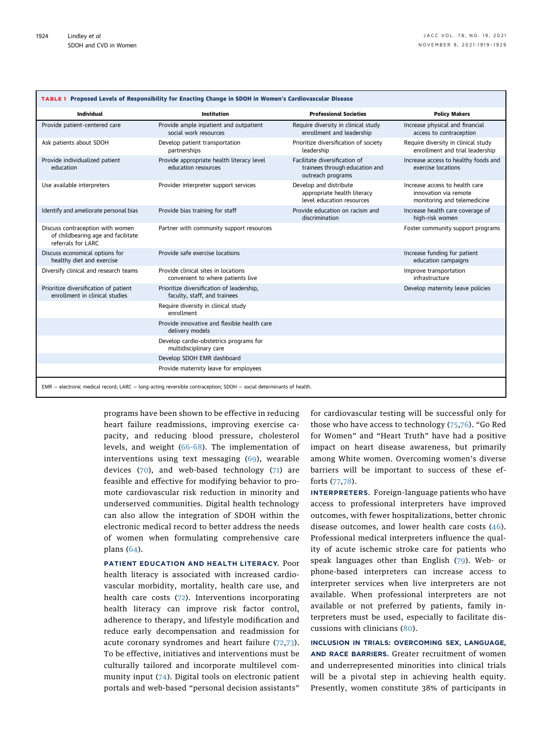<span id="page-5-0"></span>

| TABLE 1 Proposed Levels of Responsibility for Enacting Change in SDOH in Women's Cardiovascular Disease               |                                                                           |                                                                                      |                                                                                        |
|-----------------------------------------------------------------------------------------------------------------------|---------------------------------------------------------------------------|--------------------------------------------------------------------------------------|----------------------------------------------------------------------------------------|
| Individual                                                                                                            | <b>Institution</b>                                                        | <b>Professional Societies</b>                                                        | <b>Policy Makers</b>                                                                   |
| Provide patient-centered care                                                                                         | Provide ample inpatient and outpatient<br>social work resources           | Require diversity in clinical study<br>enrollment and leadership                     | Increase physical and financial<br>access to contraception                             |
| Ask patients about SDOH                                                                                               | Develop patient transportation<br>partnerships                            | Prioritize diversification of society<br>leadership                                  | Require diversity in clinical study<br>enrollment and trial leadership                 |
| Provide individualized patient<br>education                                                                           | Provide appropriate health literacy level<br>education resources          | Facilitate diversification of<br>trainees through education and<br>outreach programs | Increase access to healthy foods and<br>exercise locations                             |
| Use available interpreters                                                                                            | Provider interpreter support services                                     | Develop and distribute<br>appropriate health literacy<br>level education resources   | Increase access to health care<br>innovation via remote<br>monitoring and telemedicine |
| Identify and ameliorate personal bias                                                                                 | Provide bias training for staff                                           | Provide education on racism and<br>discrimination                                    | Increase health care coverage of<br>high-risk women                                    |
| Discuss contraception with women<br>of childbearing age and facilitate<br>referrals for LARC                          | Partner with community support resources                                  |                                                                                      | Foster community support programs                                                      |
| Discuss economical options for<br>healthy diet and exercise                                                           | Provide safe exercise locations                                           |                                                                                      | Increase funding for patient<br>education campaigns                                    |
| Diversify clinical and research teams                                                                                 | Provide clinical sites in locations<br>convenient to where patients live  |                                                                                      | Improve transportation<br>infrastructure                                               |
| Prioritize diversification of patient<br>enrollment in clinical studies                                               | Prioritize diversification of leadership,<br>faculty, staff, and trainees |                                                                                      | Develop maternity leave policies                                                       |
|                                                                                                                       | Require diversity in clinical study<br>enrollment                         |                                                                                      |                                                                                        |
|                                                                                                                       | Provide innovative and flexible health care<br>delivery models            |                                                                                      |                                                                                        |
|                                                                                                                       | Develop cardio-obstetrics programs for<br>multidisciplinary care          |                                                                                      |                                                                                        |
|                                                                                                                       | Develop SDOH EMR dashboard                                                |                                                                                      |                                                                                        |
|                                                                                                                       | Provide maternity leave for employees                                     |                                                                                      |                                                                                        |
| $EMR =$ electronic medical record; LARC = long-acting reversible contraception; SDOH = social determinants of health. |                                                                           |                                                                                      |                                                                                        |

programs have been shown to be effective in reducing heart failure readmissions, improving exercise capacity, and reducing blood pressure, cholesterol levels, and weight [\(66-68\)](#page-9-11). The implementation of interventions using text messaging ([69\)](#page-9-12), wearable devices ([70\)](#page-9-13), and web-based technology ([71](#page-9-14)) are feasible and effective for modifying behavior to promote cardiovascular risk reduction in minority and underserved communities. Digital health technology can also allow the integration of SDOH within the electronic medical record to better address the needs of women when formulating comprehensive care plans ([64\)](#page-9-9).

PATIENT EDUCATION AND HEALTH LITERACY. Poor health literacy is associated with increased cardiovascular morbidity, mortality, health care use, and health care costs [\(72\)](#page-9-15). Interventions incorporating health literacy can improve risk factor control, adherence to therapy, and lifestyle modification and reduce early decompensation and readmission for acute coronary syndromes and heart failure [\(72,](#page-9-15)[73\)](#page-9-16). To be effective, initiatives and interventions must be culturally tailored and incorporate multilevel community input [\(74](#page-9-17)). Digital tools on electronic patient portals and web-based "personal decision assistants"

for cardiovascular testing will be successful only for those who have access to technology ([75](#page-9-18),[76\)](#page-9-19). "Go Red for Women" and "Heart Truth" have had a positive impact on heart disease awareness, but primarily among White women. Overcoming women's diverse barriers will be important to success of these efforts [\(77,](#page-9-20)[78](#page-9-21)).

INTERPRETERS. Foreign-language patients who have access to professional interpreters have improved outcomes, with fewer hospitalizations, better chronic disease outcomes, and lower health care costs  $(46)$  $(46)$ . Professional medical interpreters influence the quality of acute ischemic stroke care for patients who speak languages other than English [\(79](#page-9-22)). Web- or phone-based interpreters can increase access to interpreter services when live interpreters are not available. When professional interpreters are not available or not preferred by patients, family interpreters must be used, especially to facilitate discussions with clinicians ([80\)](#page-9-23).

INCLUSION IN TRIALS: OVERCOMING SEX, LANGUAGE, AND RACE BARRIERS. Greater recruitment of women and underrepresented minorities into clinical trials will be a pivotal step in achieving health equity. Presently, women constitute 38% of participants in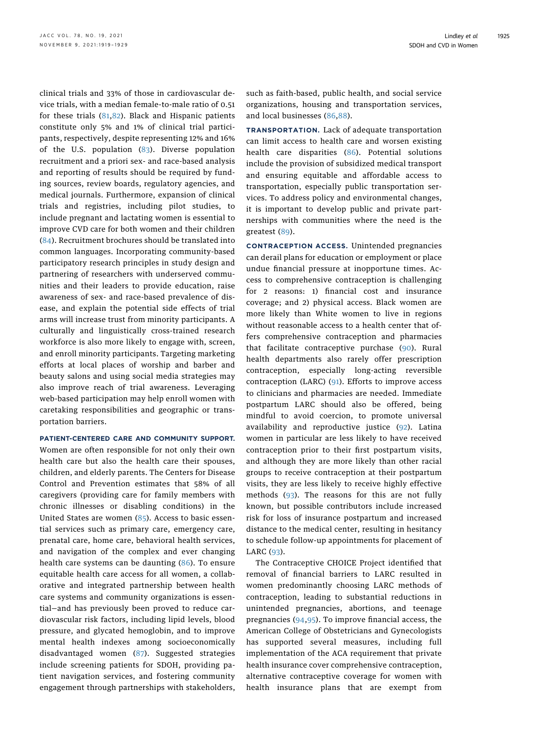clinical trials and 33% of those in cardiovascular device trials, with a median female-to-male ratio of 0.51 for these trials [\(81,](#page-9-24)[82\)](#page-9-25). Black and Hispanic patients constitute only 5% and 1% of clinical trial participants, respectively, despite representing 12% and 16% of the U.S. population ([83](#page-9-26)). Diverse population recruitment and a priori sex- and race-based analysis and reporting of results should be required by funding sources, review boards, regulatory agencies, and medical journals. Furthermore, expansion of clinical trials and registries, including pilot studies, to include pregnant and lactating women is essential to improve CVD care for both women and their children ([84\)](#page-9-27). Recruitment brochures should be translated into common languages. Incorporating community-based participatory research principles in study design and partnering of researchers with underserved communities and their leaders to provide education, raise awareness of sex- and race-based prevalence of disease, and explain the potential side effects of trial arms will increase trust from minority participants. A culturally and linguistically cross-trained research workforce is also more likely to engage with, screen, and enroll minority participants. Targeting marketing efforts at local places of worship and barber and beauty salons and using social media strategies may also improve reach of trial awareness. Leveraging web-based participation may help enroll women with caretaking responsibilities and geographic or transportation barriers.

### PATIENT-CENTERED CARE AND COMMUNITY SUPPORT.

Women are often responsible for not only their own health care but also the health care their spouses, children, and elderly parents. The Centers for Disease Control and Prevention estimates that 58% of all caregivers (providing care for family members with chronic illnesses or disabling conditions) in the United States are women  $(85)$ . Access to basic essential services such as primary care, emergency care, prenatal care, home care, behavioral health services, and navigation of the complex and ever changing health care systems can be daunting [\(86\)](#page-9-29). To ensure equitable health care access for all women, a collaborative and integrated partnership between health care systems and community organizations is essential—and has previously been proved to reduce cardiovascular risk factors, including lipid levels, blood pressure, and glycated hemoglobin, and to improve mental health indexes among socioeconomically disadvantaged women [\(87](#page-9-30)). Suggested strategies include screening patients for SDOH, providing patient navigation services, and fostering community engagement through partnerships with stakeholders,

such as faith-based, public health, and social service organizations, housing and transportation services, and local businesses ([86](#page-9-29),[88\)](#page-9-31).

TRANSPORTATION. Lack of adequate transportation can limit access to health care and worsen existing health care disparities ([86\)](#page-9-29). Potential solutions include the provision of subsidized medical transport and ensuring equitable and affordable access to transportation, especially public transportation services. To address policy and environmental changes, it is important to develop public and private partnerships with communities where the need is the greatest [\(89](#page-9-32)).

CONTRACEPTION ACCESS. Unintended pregnancies can derail plans for education or employment or place undue financial pressure at inopportune times. Access to comprehensive contraception is challenging for 2 reasons: 1) financial cost and insurance coverage; and 2) physical access. Black women are more likely than White women to live in regions without reasonable access to a health center that offers comprehensive contraception and pharmacies that facilitate contraceptive purchase [\(90](#page-9-33)). Rural health departments also rarely offer prescription contraception, especially long-acting reversible contraception (LARC) ([91](#page-9-34)). Efforts to improve access to clinicians and pharmacies are needed. Immediate postpartum LARC should also be offered, being mindful to avoid coercion, to promote universal availability and reproductive justice [\(92](#page-9-35)). Latina women in particular are less likely to have received contraception prior to their first postpartum visits, and although they are more likely than other racial groups to receive contraception at their postpartum visits, they are less likely to receive highly effective methods ([93\)](#page-9-36). The reasons for this are not fully known, but possible contributors include increased risk for loss of insurance postpartum and increased distance to the medical center, resulting in hesitancy to schedule follow-up appointments for placement of LARC ([93\)](#page-9-36).

The Contraceptive CHOICE Project identified that removal of financial barriers to LARC resulted in women predominantly choosing LARC methods of contraception, leading to substantial reductions in unintended pregnancies, abortions, and teenage pregnancies ([94,](#page-10-0)[95](#page-10-1)). To improve financial access, the American College of Obstetricians and Gynecologists has supported several measures, including full implementation of the ACA requirement that private health insurance cover comprehensive contraception, alternative contraceptive coverage for women with health insurance plans that are exempt from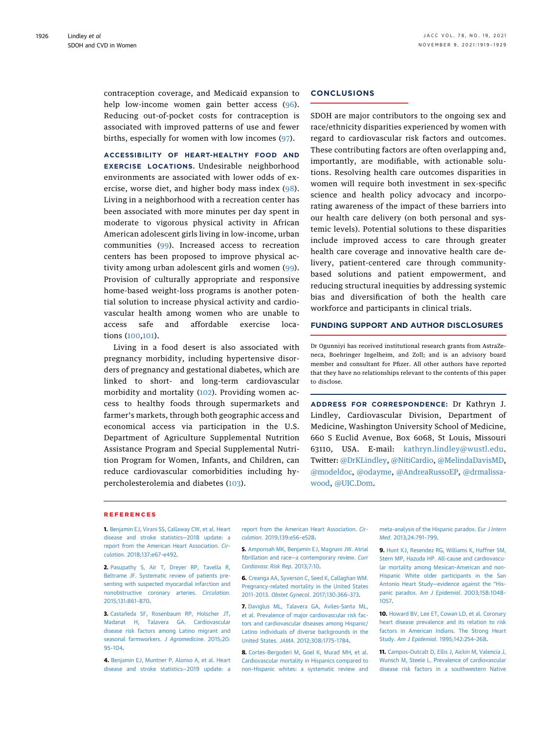contraception coverage, and Medicaid expansion to help low-income women gain better access ([96\)](#page-10-2). Reducing out-of-pocket costs for contraception is associated with improved patterns of use and fewer births, especially for women with low incomes ([97](#page-10-3)).

ACCESSIBILITY OF HEART-HEALTHY FOOD AND EXERCISE LOCATIONS. Undesirable neighborhood environments are associated with lower odds of exercise, worse diet, and higher body mass index ([98\)](#page-10-4). Living in a neighborhood with a recreation center has been associated with more minutes per day spent in moderate to vigorous physical activity in African American adolescent girls living in low-income, urban communities ([99](#page-10-5)). Increased access to recreation centers has been proposed to improve physical activity among urban adolescent girls and women [\(99\)](#page-10-5). Provision of culturally appropriate and responsive home-based weight-loss programs is another potential solution to increase physical activity and cardiovascular health among women who are unable to access safe and affordable exercise locations ([100](#page-10-6),[101\)](#page-10-7).

Living in a food desert is also associated with pregnancy morbidity, including hypertensive disorders of pregnancy and gestational diabetes, which are linked to short- and long-term cardiovascular morbidity and mortality ([102\)](#page-10-8). Providing women access to healthy foods through supermarkets and farmer's markets, through both geographic access and economical access via participation in the U.S. Department of Agriculture Supplemental Nutrition Assistance Program and Special Supplemental Nutrition Program for Women, Infants, and Children, can reduce cardiovascular comorbidities including hypercholesterolemia and diabetes [\(103](#page-10-9)).

## **CONCLUSIONS**

SDOH are major contributors to the ongoing sex and race/ethnicity disparities experienced by women with regard to cardiovascular risk factors and outcomes. These contributing factors are often overlapping and, importantly, are modifiable, with actionable solutions. Resolving health care outcomes disparities in women will require both investment in sex-specific science and health policy advocacy and incorporating awareness of the impact of these barriers into our health care delivery (on both personal and systemic levels). Potential solutions to these disparities include improved access to care through greater health care coverage and innovative health care delivery, patient-centered care through communitybased solutions and patient empowerment, and reducing structural inequities by addressing systemic bias and diversification of both the health care workforce and participants in clinical trials.

## FUNDING SUPPORT AND AUTHOR DISCLOSURES

Dr Ogunniyi has received institutional research grants from AstraZeneca, Boehringer Ingelheim, and Zoll; and is an advisory board member and consultant for Pfizer. All other authors have reported that they have no relationships relevant to the contents of this paper to disclose.

ADDRESS FOR CORRESPONDENCE: Dr Kathryn J. Lindley, Cardiovascular Division, Department of Medicine, Washington University School of Medicine, 660 S Euclid Avenue, Box 6068, St Louis, Missouri 63110, USA. E-mail: [kathryn.lindley@wustl.edu.](mailto:kathryn.lindley@wustl.edu) Twitter: [@DrKLindley](https://twitter.com/DrKLindley), [@NitiCardio](https://twitter.com/NitiCardio), [@MelindaDavisMD,](https://twitter.com/MelindaDavisMD) [@modeldoc,](https://twitter.com/modeldoc) [@odayme](https://twitter.com/odayme), [@AndreaRussoEP,](https://twitter.com/AndreaRussoEP) [@drmalissa](https://twitter.com/drmalissawood)[wood](https://twitter.com/drmalissawood), [@UIC.Dom.](https://twitter.com/UIC.Dom)

#### REFERENCES

<span id="page-7-0"></span>1. [Benjamin EJ, Virani SS, Callaway CW, et al. Heart](http://refhub.elsevier.com/S0735-1097(21)06216-1/sref1) [disease and stroke statistics](http://refhub.elsevier.com/S0735-1097(21)06216-1/sref1)—2018 update: a [report from the American Heart Association.](http://refhub.elsevier.com/S0735-1097(21)06216-1/sref1) Circulation[. 2018;137:e67](http://refhub.elsevier.com/S0735-1097(21)06216-1/sref1)–e492.

<span id="page-7-1"></span>2. [Pasupathy S, Air T, Dreyer RP, Tavella R,](http://refhub.elsevier.com/S0735-1097(21)06216-1/sref2) [Beltrame JF. Systematic review of patients pre](http://refhub.elsevier.com/S0735-1097(21)06216-1/sref2)[senting with suspected myocardial infarction and](http://refhub.elsevier.com/S0735-1097(21)06216-1/sref2) [nonobstructive coronary arteries.](http://refhub.elsevier.com/S0735-1097(21)06216-1/sref2) Circulation. [2015;131:861](http://refhub.elsevier.com/S0735-1097(21)06216-1/sref2)–870.

<span id="page-7-2"></span>3. [Castañeda SF, Rosenbaum RP, Holscher JT,](http://refhub.elsevier.com/S0735-1097(21)06216-1/sref3) [Madanat H, Talavera GA. Cardiovascular](http://refhub.elsevier.com/S0735-1097(21)06216-1/sref3) [disease risk factors among Latino migrant and](http://refhub.elsevier.com/S0735-1097(21)06216-1/sref3) [seasonal farmworkers.](http://refhub.elsevier.com/S0735-1097(21)06216-1/sref3) J Agromedicine. 2015;20: 95–[104](http://refhub.elsevier.com/S0735-1097(21)06216-1/sref3).

<span id="page-7-3"></span>4. [Benjamin EJ, Muntner P, Alonso A, et al. Heart](http://refhub.elsevier.com/S0735-1097(21)06216-1/sref4) [disease and stroke statistics](http://refhub.elsevier.com/S0735-1097(21)06216-1/sref4)—2019 update: a

[report from the American Heart Association.](http://refhub.elsevier.com/S0735-1097(21)06216-1/sref4) Circulation[. 2019;139:e56](http://refhub.elsevier.com/S0735-1097(21)06216-1/sref4)–e528.

<span id="page-7-4"></span>5. [Amponsah MK, Benjamin EJ, Magnani JW. Atrial](http://refhub.elsevier.com/S0735-1097(21)06216-1/sref5) fibrillation and race—[a contemporary review.](http://refhub.elsevier.com/S0735-1097(21)06216-1/sref5) Curr [Cardiovasc Risk Rep](http://refhub.elsevier.com/S0735-1097(21)06216-1/sref5). 2013;7:10.

<span id="page-7-5"></span>6. [Creanga AA, Syverson C, Seed K, Callaghan WM.](http://refhub.elsevier.com/S0735-1097(21)06216-1/sref6) [Pregnancy-related mortality in the United States](http://refhub.elsevier.com/S0735-1097(21)06216-1/sref6) 2011-2013. Obstet Gynecol[. 2017;130:366](http://refhub.elsevier.com/S0735-1097(21)06216-1/sref6)–373.

<span id="page-7-6"></span>7. [Daviglus ML, Talavera GA, Aviles-Santa ML,](http://refhub.elsevier.com/S0735-1097(21)06216-1/sref7) [et al. Prevalence of major cardiovascular risk fac](http://refhub.elsevier.com/S0735-1097(21)06216-1/sref7)[tors and cardiovascular diseases among Hispanic/](http://refhub.elsevier.com/S0735-1097(21)06216-1/sref7) [Latino individuals of diverse backgrounds in the](http://refhub.elsevier.com/S0735-1097(21)06216-1/sref7) United States. JAMA[. 2012;308:1775](http://refhub.elsevier.com/S0735-1097(21)06216-1/sref7)–1784.

<span id="page-7-7"></span>8. [Cortes-Bergoderi M, Goel K, Murad MH, et al.](http://refhub.elsevier.com/S0735-1097(21)06216-1/sref8) [Cardiovascular mortality in Hispanics compared to](http://refhub.elsevier.com/S0735-1097(21)06216-1/sref8) [non-Hispanic whites: a systematic review and](http://refhub.elsevier.com/S0735-1097(21)06216-1/sref8)

[meta-analysis of the Hispanic paradox.](http://refhub.elsevier.com/S0735-1097(21)06216-1/sref8) Eur J Intern Med[. 2013;24:791](http://refhub.elsevier.com/S0735-1097(21)06216-1/sref8)–799.

<span id="page-7-8"></span>9. [Hunt KJ, Resendez RG, Williams K, Haffner SM,](http://refhub.elsevier.com/S0735-1097(21)06216-1/sref9) [Stern MP, Hazuda HP. All-cause and cardiovascu](http://refhub.elsevier.com/S0735-1097(21)06216-1/sref9)[lar mortality among Mexican-American and non-](http://refhub.elsevier.com/S0735-1097(21)06216-1/sref9)[Hispanic White older participants in the San](http://refhub.elsevier.com/S0735-1097(21)06216-1/sref9) Antonio Heart Study—[evidence against the](http://refhub.elsevier.com/S0735-1097(21)06216-1/sref9) "Hispanic paradox. Am J Epidemiol[. 2003;158:1048](http://refhub.elsevier.com/S0735-1097(21)06216-1/sref9)– [1057](http://refhub.elsevier.com/S0735-1097(21)06216-1/sref9).

<span id="page-7-9"></span>10. [Howard BV, Lee ET, Cowan LD, et al. Coronary](http://refhub.elsevier.com/S0735-1097(21)06216-1/sref10) [heart disease prevalence and its relation to risk](http://refhub.elsevier.com/S0735-1097(21)06216-1/sref10) [factors in American Indians. The Strong Heart](http://refhub.elsevier.com/S0735-1097(21)06216-1/sref10) Study. [Am J Epidemiol](http://refhub.elsevier.com/S0735-1097(21)06216-1/sref10). 1995;142:254–268.

<span id="page-7-10"></span>11. [Campos-Outcalt D, Ellis J, Aickin M, Valencia J,](http://refhub.elsevier.com/S0735-1097(21)06216-1/sref11) [Wunsch M, Steele L. Prevalence of cardiovascular](http://refhub.elsevier.com/S0735-1097(21)06216-1/sref11) [disease risk factors in a southwestern Native](http://refhub.elsevier.com/S0735-1097(21)06216-1/sref11)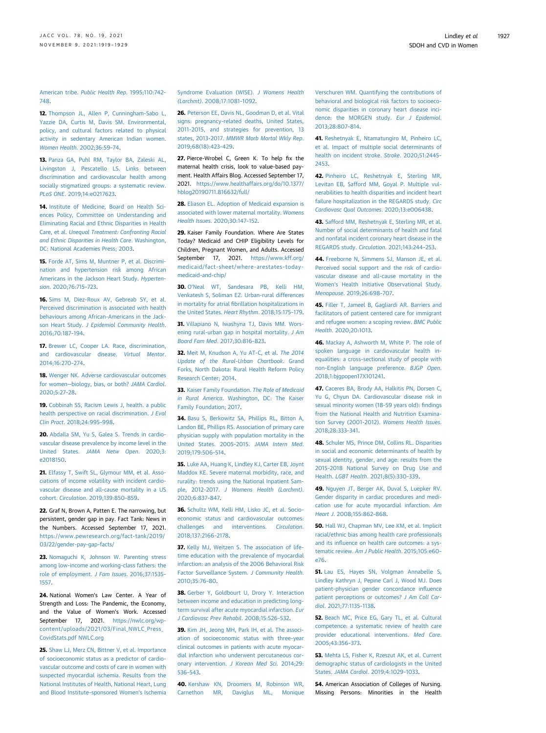American tribe. [Public Health Rep](http://refhub.elsevier.com/S0735-1097(21)06216-1/sref11). 1995;110:742– [748](http://refhub.elsevier.com/S0735-1097(21)06216-1/sref11).

<span id="page-8-0"></span>12. [Thompson JL, Allen P, Cunningham-Sabo L,](http://refhub.elsevier.com/S0735-1097(21)06216-1/sref12) [Yazzie DA, Curtis M, Davis SM. Environmental,](http://refhub.elsevier.com/S0735-1097(21)06216-1/sref12) [policy, and cultural factors related to physical](http://refhub.elsevier.com/S0735-1097(21)06216-1/sref12) [activity in sedentary American Indian women.](http://refhub.elsevier.com/S0735-1097(21)06216-1/sref12) [Women Health](http://refhub.elsevier.com/S0735-1097(21)06216-1/sref12). 2002;36:59–74.

<span id="page-8-1"></span>13. [Panza GA, Puhl RM, Taylor BA, Zaleski AL,](http://refhub.elsevier.com/S0735-1097(21)06216-1/sref13) [Livingston J, Pescatello LS. Links between](http://refhub.elsevier.com/S0735-1097(21)06216-1/sref13) [discrimination and cardiovascular health among](http://refhub.elsevier.com/S0735-1097(21)06216-1/sref13) [socially stigmatized groups: a systematic review.](http://refhub.elsevier.com/S0735-1097(21)06216-1/sref13) PLoS ONE[. 2019;14:e0217623.](http://refhub.elsevier.com/S0735-1097(21)06216-1/sref13)

<span id="page-8-2"></span>14. [Institute of Medicine, Board on Health Sci](http://refhub.elsevier.com/S0735-1097(21)06216-1/sref14)[ences Policy, Committee on Understanding and](http://refhub.elsevier.com/S0735-1097(21)06216-1/sref14) [Eliminating Racial and Ethnic Disparities in Health](http://refhub.elsevier.com/S0735-1097(21)06216-1/sref14) Care, et al. [Unequal Treatment: Confronting Racial](http://refhub.elsevier.com/S0735-1097(21)06216-1/sref14) [and Ethnic Disparities in Health Care](http://refhub.elsevier.com/S0735-1097(21)06216-1/sref14). Washington, [DC: National Academies Press; 2003.](http://refhub.elsevier.com/S0735-1097(21)06216-1/sref14)

<span id="page-8-3"></span>15. [Forde AT, Sims M, Muntner P, et al. Discrimi](http://refhub.elsevier.com/S0735-1097(21)06216-1/sref15)[nation and hypertension risk among African](http://refhub.elsevier.com/S0735-1097(21)06216-1/sref15) [Americans in the Jackson Heart Study.](http://refhub.elsevier.com/S0735-1097(21)06216-1/sref15) Hypertension[. 2020;76:715](http://refhub.elsevier.com/S0735-1097(21)06216-1/sref15)–723.

<span id="page-8-4"></span>16. [Sims M, Diez-Roux AV, Gebreab SY, et al.](http://refhub.elsevier.com/S0735-1097(21)06216-1/sref16) [Perceived discrimination is associated with health](http://refhub.elsevier.com/S0735-1097(21)06216-1/sref16) [behaviours among African-Americans in the Jack](http://refhub.elsevier.com/S0735-1097(21)06216-1/sref16)son Heart Study. [J Epidemiol Community Health](http://refhub.elsevier.com/S0735-1097(21)06216-1/sref16). [2016;70:187](http://refhub.elsevier.com/S0735-1097(21)06216-1/sref16)–194.

<span id="page-8-5"></span>17. [Brewer LC, Cooper LA. Race, discrimination,](http://refhub.elsevier.com/S0735-1097(21)06216-1/sref17) [and cardiovascular disease.](http://refhub.elsevier.com/S0735-1097(21)06216-1/sref17) Virtual Mentor. [2014;16:270](http://refhub.elsevier.com/S0735-1097(21)06216-1/sref17)–274.

<span id="page-8-6"></span>18. [Wenger NK. Adverse cardiovascular outcomes](http://refhub.elsevier.com/S0735-1097(21)06216-1/sref18) for women—[biology, bias, or both?](http://refhub.elsevier.com/S0735-1097(21)06216-1/sref18) JAMA Cardiol. [2020;5:27](http://refhub.elsevier.com/S0735-1097(21)06216-1/sref18)–28.

<span id="page-8-7"></span>19. [Cobbinah SS, Racism Lewis J, health. a public](http://refhub.elsevier.com/S0735-1097(21)06216-1/sref19) [health perspective on racial discrimination.](http://refhub.elsevier.com/S0735-1097(21)06216-1/sref19) J Eval Clin Pract[. 2018;24:995](http://refhub.elsevier.com/S0735-1097(21)06216-1/sref19)–998.

<span id="page-8-8"></span>20. [Abdalla SM, Yu S, Galea S. Trends in cardio](http://refhub.elsevier.com/S0735-1097(21)06216-1/sref20)[vascular disease prevalence by income level in the](http://refhub.elsevier.com/S0735-1097(21)06216-1/sref20) United States. [JAMA Netw Open](http://refhub.elsevier.com/S0735-1097(21)06216-1/sref20). 2020;3: [e2018150](http://refhub.elsevier.com/S0735-1097(21)06216-1/sref20).

<span id="page-8-9"></span>21. [Elfassy T, Swift SL, Glymour MM, et al. Asso](http://refhub.elsevier.com/S0735-1097(21)06216-1/sref21)[ciations of income volatility with incident cardio](http://refhub.elsevier.com/S0735-1097(21)06216-1/sref21)[vascular disease and all-cause mortality in a US](http://refhub.elsevier.com/S0735-1097(21)06216-1/sref21) cohort. Circulation[. 2019;139:850](http://refhub.elsevier.com/S0735-1097(21)06216-1/sref21)–859.

<span id="page-8-10"></span>22. Graf N, Brown A, Patten E. The narrowing, but persistent, gender gap in pay. Fact Tank: News in the Numbers. Accessed September 17, 2021. [https://www.pewresearch.org/fact-tank/2019/](https://www.pewresearch.org/fact-tank/2019/03/22/gender-pay-gap-facts/) [03/22/gender-pay-gap-facts/](https://www.pewresearch.org/fact-tank/2019/03/22/gender-pay-gap-facts/)

<span id="page-8-11"></span>23. [Nomaguchi K, Johnson W. Parenting stress](http://refhub.elsevier.com/S0735-1097(21)06216-1/sref23) [among low-income and working-class fathers: the](http://refhub.elsevier.com/S0735-1097(21)06216-1/sref23) [role of employment.](http://refhub.elsevier.com/S0735-1097(21)06216-1/sref23) J Fam Issues. 2016;37:1535– [1557.](http://refhub.elsevier.com/S0735-1097(21)06216-1/sref23)

<span id="page-8-12"></span>24. National Women's Law Center. A Year of Strength and Loss: The Pandemic, the Economy, and the Value of Women's Work. Accessed September 17, 2021. [https://nwlc.org/wp](https://nwlc.org/wp-content/uploads/2021/03/Final_NWLC_Press_CovidStats.pdf%20NWLC.org)[content/uploads/2021/03/Final\\_NWLC\\_Press\\_](https://nwlc.org/wp-content/uploads/2021/03/Final_NWLC_Press_CovidStats.pdf%20NWLC.org) [CovidStats.pdf NWLC.org](https://nwlc.org/wp-content/uploads/2021/03/Final_NWLC_Press_CovidStats.pdf%20NWLC.org)

<span id="page-8-13"></span>25. [Shaw LJ, Merz CN, Bittner V, et al. Importance](http://refhub.elsevier.com/S0735-1097(21)06216-1/sref25) [of socioeconomic status as a predictor of cardio](http://refhub.elsevier.com/S0735-1097(21)06216-1/sref25)[vascular outcome and costs of care in women with](http://refhub.elsevier.com/S0735-1097(21)06216-1/sref25) [suspected myocardial ischemia. Results from the](http://refhub.elsevier.com/S0735-1097(21)06216-1/sref25) [National Institutes of Health, National Heart, Lung](http://refhub.elsevier.com/S0735-1097(21)06216-1/sref25) [and Blood Institute](http://refhub.elsevier.com/S0735-1097(21)06216-1/sref25)–sponsored Women's Ischemia [Syndrome Evaluation \(WISE\).](http://refhub.elsevier.com/S0735-1097(21)06216-1/sref25) J Womens Health (Larchmt)[. 2008;17:1081](http://refhub.elsevier.com/S0735-1097(21)06216-1/sref25)–1092.

<span id="page-8-14"></span>26. [Peterson EE, Davis NL, Goodman D, et al. Vital](http://refhub.elsevier.com/S0735-1097(21)06216-1/sref26) [signs: pregnancy-related deaths, United States,](http://refhub.elsevier.com/S0735-1097(21)06216-1/sref26) [2011-2015, and strategies for prevention, 13](http://refhub.elsevier.com/S0735-1097(21)06216-1/sref26) states, 2013-2017. [MMWR Morb Mortal Wkly Rep](http://refhub.elsevier.com/S0735-1097(21)06216-1/sref26). [2019;68\(18\):423](http://refhub.elsevier.com/S0735-1097(21)06216-1/sref26)–429.

<span id="page-8-15"></span>27. Pierce-Wrobel C, Green K. To help fix the maternal health crisis, look to value-based payment. Health Affairs Blog. Accessed September 17, 2021. [https://www.healthaffairs.org/do/10.1377/](https://www.healthaffairs.org/do/10.1377/hblog20190711.816632/full/) [hblog20190711.816632/full/](https://www.healthaffairs.org/do/10.1377/hblog20190711.816632/full/)

<span id="page-8-16"></span>28. [Eliason EL. Adoption of Medicaid expansion is](http://refhub.elsevier.com/S0735-1097(21)06216-1/sref28) [associated with lower maternal mortality.](http://refhub.elsevier.com/S0735-1097(21)06216-1/sref28) Womens Health Issues[. 2020;30:147](http://refhub.elsevier.com/S0735-1097(21)06216-1/sref28)–152.

<span id="page-8-17"></span>29. Kaiser Family Foundation. Where Are States Today? Medicaid and CHIP Eligibility Levels for Children, Pregnant Women, and Adults. Accessed September 17, 2021. [https://www.kff.org/](https://www.kff.org/medicaid/fact-sheet/where-arestates-today-medicaid-and-chip/) [medicaid/fact-sheet/where-arestates-today](https://www.kff.org/medicaid/fact-sheet/where-arestates-today-medicaid-and-chip/)[medicaid-and-chip/](https://www.kff.org/medicaid/fact-sheet/where-arestates-today-medicaid-and-chip/)

<span id="page-8-18"></span>30. O'Neal WT, Sandesara PB, Kelli HM [Venkatesh S, Soliman EZ. Urban-rural differences](http://refhub.elsevier.com/S0735-1097(21)06216-1/sref30) in mortality for atrial fi[brillation hospitalizations in](http://refhub.elsevier.com/S0735-1097(21)06216-1/sref30) [the United States.](http://refhub.elsevier.com/S0735-1097(21)06216-1/sref30) Heart Rhythm. 2018;15:175–179.

31. [Villapiano N, Iwashyna TJ, Davis MM. Wors](http://refhub.elsevier.com/S0735-1097(21)06216-1/sref31)[ening rural-urban gap in hospital mortality.](http://refhub.elsevier.com/S0735-1097(21)06216-1/sref31) J Am [Board Fam Med](http://refhub.elsevier.com/S0735-1097(21)06216-1/sref31). 2017;30:816–823.

<span id="page-8-19"></span>32. [Meit M, Knudson A, Yu AT-C, et al.](http://refhub.elsevier.com/S0735-1097(21)06216-1/sref32) The 2014 [Update of the Rural-Urban Chartbook](http://refhub.elsevier.com/S0735-1097(21)06216-1/sref32). Grand [Forks, North Dakota: Rural Health Reform Policy](http://refhub.elsevier.com/S0735-1097(21)06216-1/sref32) [Research Center; 2014.](http://refhub.elsevier.com/S0735-1097(21)06216-1/sref32)

<span id="page-8-20"></span>33. [Kaiser Family Foundation.](http://refhub.elsevier.com/S0735-1097(21)06216-1/sref33) The Role of Medicaid in Rural America[. Washington, DC: The Kaiser](http://refhub.elsevier.com/S0735-1097(21)06216-1/sref33) [Family Foundation; 2017](http://refhub.elsevier.com/S0735-1097(21)06216-1/sref33).

<span id="page-8-21"></span>34. [Basu S, Berkowitz SA, Phillips RL, Bitton A,](http://refhub.elsevier.com/S0735-1097(21)06216-1/sref34) [Landon BE, Phillips RS. Association of primary care](http://refhub.elsevier.com/S0735-1097(21)06216-1/sref34) [physician supply with population mortality in the](http://refhub.elsevier.com/S0735-1097(21)06216-1/sref34) [United States. 2005-2015.](http://refhub.elsevier.com/S0735-1097(21)06216-1/sref34) JAMA Intern Med. [2019;179:506](http://refhub.elsevier.com/S0735-1097(21)06216-1/sref34)–514.

<span id="page-8-22"></span>35. [Luke AA, Huang K, Lindley KJ, Carter EB, Joynt](http://refhub.elsevier.com/S0735-1097(21)06216-1/sref35) [Maddox KE. Severe maternal morbidity, race, and](http://refhub.elsevier.com/S0735-1097(21)06216-1/sref35) [rurality: trends using the National Inpatient Sam](http://refhub.elsevier.com/S0735-1097(21)06216-1/sref35)ple, 2012-2017. [J Womens Health \(Larchmt\)](http://refhub.elsevier.com/S0735-1097(21)06216-1/sref35). [2020;6:837](http://refhub.elsevier.com/S0735-1097(21)06216-1/sref35)–847.

<span id="page-8-23"></span>36. [Schultz WM, Kelli HM, Lisko JC, et al. Socio](http://refhub.elsevier.com/S0735-1097(21)06216-1/sref36)[economic status and cardiovascular outcomes:](http://refhub.elsevier.com/S0735-1097(21)06216-1/sref36) [challenges and interventions.](http://refhub.elsevier.com/S0735-1097(21)06216-1/sref36) Circulation. [2018;137:2166](http://refhub.elsevier.com/S0735-1097(21)06216-1/sref36)–2178.

<span id="page-8-24"></span>37. [Kelly MJ, Weitzen S. The association of life](http://refhub.elsevier.com/S0735-1097(21)06216-1/sref37)[time education with the prevalence of myocardial](http://refhub.elsevier.com/S0735-1097(21)06216-1/sref37) [infarction: an analysis of the 2006 Behavioral Risk](http://refhub.elsevier.com/S0735-1097(21)06216-1/sref37) [Factor Surveillance System.](http://refhub.elsevier.com/S0735-1097(21)06216-1/sref37) J Community Health. [2010;35:76](http://refhub.elsevier.com/S0735-1097(21)06216-1/sref37)–80.

<span id="page-8-25"></span>38. [Gerber Y, Goldbourt U, Drory Y. Interaction](http://refhub.elsevier.com/S0735-1097(21)06216-1/sref38) [between income and education in predicting long](http://refhub.elsevier.com/S0735-1097(21)06216-1/sref38)[term survival after acute myocardial infarction.](http://refhub.elsevier.com/S0735-1097(21)06216-1/sref38) Eur [J Cardiovasc Prev Rehabil](http://refhub.elsevier.com/S0735-1097(21)06216-1/sref38). 2008;15:526–532.

<span id="page-8-26"></span>39. [Kim JH, Jeong MH, Park IH, et al. The associ](http://refhub.elsevier.com/S0735-1097(21)06216-1/sref39)[ation of socioeconomic status with three-year](http://refhub.elsevier.com/S0735-1097(21)06216-1/sref39) [clinical outcomes in patients with acute myocar](http://refhub.elsevier.com/S0735-1097(21)06216-1/sref39)[dial infarction who underwent percutaneous cor](http://refhub.elsevier.com/S0735-1097(21)06216-1/sref39)[onary intervention.](http://refhub.elsevier.com/S0735-1097(21)06216-1/sref39) J Korean Med Sci. 2014;29: [536](http://refhub.elsevier.com/S0735-1097(21)06216-1/sref39)–543.

<span id="page-8-27"></span>40. [Kershaw KN, Droomers M, Robinson WR,](http://refhub.elsevier.com/S0735-1097(21)06216-1/sref40) [Carnethon MR, Daviglus ML, Monique](http://refhub.elsevier.com/S0735-1097(21)06216-1/sref40) [Verschuren WM. Quantifying the contributions of](http://refhub.elsevier.com/S0735-1097(21)06216-1/sref40) [behavioral and biological risk factors to socioeco](http://refhub.elsevier.com/S0735-1097(21)06216-1/sref40)[nomic disparities in coronary heart disease inci](http://refhub.elsevier.com/S0735-1097(21)06216-1/sref40)[dence: the MORGEN study.](http://refhub.elsevier.com/S0735-1097(21)06216-1/sref40) Eur J Epidemiol. [2013;28:807](http://refhub.elsevier.com/S0735-1097(21)06216-1/sref40)–814.

<span id="page-8-28"></span>41. [Reshetnyak E, Ntamatungiro M, Pinheiro LC,](http://refhub.elsevier.com/S0735-1097(21)06216-1/sref41) [et al. Impact of multiple social determinants of](http://refhub.elsevier.com/S0735-1097(21)06216-1/sref41) [health on incident stroke.](http://refhub.elsevier.com/S0735-1097(21)06216-1/sref41) Stroke. 2020;51:2445– [2453.](http://refhub.elsevier.com/S0735-1097(21)06216-1/sref41)

<span id="page-8-29"></span>42. [Pinheiro LC, Reshetnyak E, Sterling MR,](http://refhub.elsevier.com/S0735-1097(21)06216-1/sref42) [Levitan EB, Safford MM, Goyal P. Multiple vul](http://refhub.elsevier.com/S0735-1097(21)06216-1/sref42)[nerabilities to health disparities and incident heart](http://refhub.elsevier.com/S0735-1097(21)06216-1/sref42) [failure hospitalization in the REGARDS study.](http://refhub.elsevier.com/S0735-1097(21)06216-1/sref42) Circ [Cardiovasc Qual Outcomes](http://refhub.elsevier.com/S0735-1097(21)06216-1/sref42). 2020;13:e006438.

<span id="page-8-30"></span>43. [Safford MM, Reshetnyak E, Sterling MR, et al.](http://refhub.elsevier.com/S0735-1097(21)06216-1/sref43) [Number of social determinants of health and fatal](http://refhub.elsevier.com/S0735-1097(21)06216-1/sref43) [and nonfatal incident coronary heart disease in the](http://refhub.elsevier.com/S0735-1097(21)06216-1/sref43) [REGARDS study.](http://refhub.elsevier.com/S0735-1097(21)06216-1/sref43) Circulation. 2021;143:244–253.

<span id="page-8-31"></span>44. [Freeborne N, Simmens SJ, Manson JE, et al.](http://refhub.elsevier.com/S0735-1097(21)06216-1/sref44) [Perceived social support and the risk of cardio](http://refhub.elsevier.com/S0735-1097(21)06216-1/sref44)[vascular disease and all-cause mortality in the](http://refhub.elsevier.com/S0735-1097(21)06216-1/sref44) Women'[s Health Initiative Observational Study.](http://refhub.elsevier.com/S0735-1097(21)06216-1/sref44) Menopause[. 2019;26:698](http://refhub.elsevier.com/S0735-1097(21)06216-1/sref44)–707.

<span id="page-8-32"></span>45. [Filler T, Jameel B, Gagliardi AR. Barriers and](http://refhub.elsevier.com/S0735-1097(21)06216-1/sref45) [facilitators of patient centered care for immigrant](http://refhub.elsevier.com/S0735-1097(21)06216-1/sref45) [and refugee women: a scoping review.](http://refhub.elsevier.com/S0735-1097(21)06216-1/sref45) BMC Public Health[. 2020;20:1013](http://refhub.elsevier.com/S0735-1097(21)06216-1/sref45).

<span id="page-8-33"></span>46. [Mackay A, Ashworth M, White P. The role of](http://refhub.elsevier.com/S0735-1097(21)06216-1/sref46) [spoken language in cardiovascular health in](http://refhub.elsevier.com/S0735-1097(21)06216-1/sref46)[equalities: a cross-sectional study of people with](http://refhub.elsevier.com/S0735-1097(21)06216-1/sref46) [non-English language preference.](http://refhub.elsevier.com/S0735-1097(21)06216-1/sref46) BJGP Open. [2018;1:bjgpopen17X101241.](http://refhub.elsevier.com/S0735-1097(21)06216-1/sref46)

<span id="page-8-34"></span>47. [Caceres BA, Brody AA, Halkitis PN, Dorsen C,](http://refhub.elsevier.com/S0735-1097(21)06216-1/sref47) [Yu G, Chyun DA. Cardiovascular disease risk in](http://refhub.elsevier.com/S0735-1097(21)06216-1/sref47) [sexual minority women \(18-59 years old\):](http://refhub.elsevier.com/S0735-1097(21)06216-1/sref47) findings [from the National Health and Nutrition Examina](http://refhub.elsevier.com/S0735-1097(21)06216-1/sref47)[tion Survey \(2001-2012\).](http://refhub.elsevier.com/S0735-1097(21)06216-1/sref47) Womens Health Issues. [2018;28:333](http://refhub.elsevier.com/S0735-1097(21)06216-1/sref47)–341.

<span id="page-8-35"></span>48. [Schuler MS, Prince DM, Collins RL. Disparities](http://refhub.elsevier.com/S0735-1097(21)06216-1/sref48) [in social and economic determinants of health by](http://refhub.elsevier.com/S0735-1097(21)06216-1/sref48) [sexual identity, gender, and age: results from the](http://refhub.elsevier.com/S0735-1097(21)06216-1/sref48) [2015-2018 National Survey on Drug Use and](http://refhub.elsevier.com/S0735-1097(21)06216-1/sref48) Health. LGBT Health[. 2021;8\(5\):330](http://refhub.elsevier.com/S0735-1097(21)06216-1/sref48)–339.

<span id="page-8-36"></span>49. [Nguyen JT, Berger AK, Duval S, Luepker RV.](http://refhub.elsevier.com/S0735-1097(21)06216-1/sref49) [Gender disparity in cardiac procedures and medi](http://refhub.elsevier.com/S0735-1097(21)06216-1/sref49)[cation use for acute myocardial infarction.](http://refhub.elsevier.com/S0735-1097(21)06216-1/sref49) Am Heart J[. 2008;155:862](http://refhub.elsevier.com/S0735-1097(21)06216-1/sref49)–868.

<span id="page-8-37"></span>50. [Hall WJ, Chapman MV, Lee KM, et al. Implicit](http://refhub.elsevier.com/S0735-1097(21)06216-1/sref50) [racial/ethnic bias among health care professionals](http://refhub.elsevier.com/S0735-1097(21)06216-1/sref50) and its infl[uence on health care outcomes: a sys](http://refhub.elsevier.com/S0735-1097(21)06216-1/sref50)tematic review. [Am J Public Health](http://refhub.elsevier.com/S0735-1097(21)06216-1/sref50). 2015;105:e60– [e76.](http://refhub.elsevier.com/S0735-1097(21)06216-1/sref50)

<span id="page-8-38"></span>51. [Lau ES, Hayes SN, Volgman Annabelle S,](http://refhub.elsevier.com/S0735-1097(21)06216-1/sref51) [Lindley Kathryn J, Pepine Carl J, Wood MJ. Does](http://refhub.elsevier.com/S0735-1097(21)06216-1/sref51) [patient-physician gender concordance in](http://refhub.elsevier.com/S0735-1097(21)06216-1/sref51)fluence [patient perceptions or outcomes?](http://refhub.elsevier.com/S0735-1097(21)06216-1/sref51) J Am Coll Cardiol[. 2021;77:1135](http://refhub.elsevier.com/S0735-1097(21)06216-1/sref51)–1138.

<span id="page-8-39"></span>52. [Beach MC, Price EG, Gary TL, et al. Cultural](http://refhub.elsevier.com/S0735-1097(21)06216-1/sref52) [competence: a systematic review of health care](http://refhub.elsevier.com/S0735-1097(21)06216-1/sref52) [provider educational interventions.](http://refhub.elsevier.com/S0735-1097(21)06216-1/sref52) Med Care. [2005;43:356](http://refhub.elsevier.com/S0735-1097(21)06216-1/sref52)–373.

<span id="page-8-40"></span>53. [Mehta LS, Fisher K, Rzeszut AK, et al. Current](http://refhub.elsevier.com/S0735-1097(21)06216-1/sref53) [demographic status of cardiologists in the United](http://refhub.elsevier.com/S0735-1097(21)06216-1/sref53) States. JAMA Cardiol[. 2019;4:1029](http://refhub.elsevier.com/S0735-1097(21)06216-1/sref53)–1033.

<span id="page-8-41"></span>**54.** American Association of Colleges of Nursing. Missing Persons: Minorities in the Health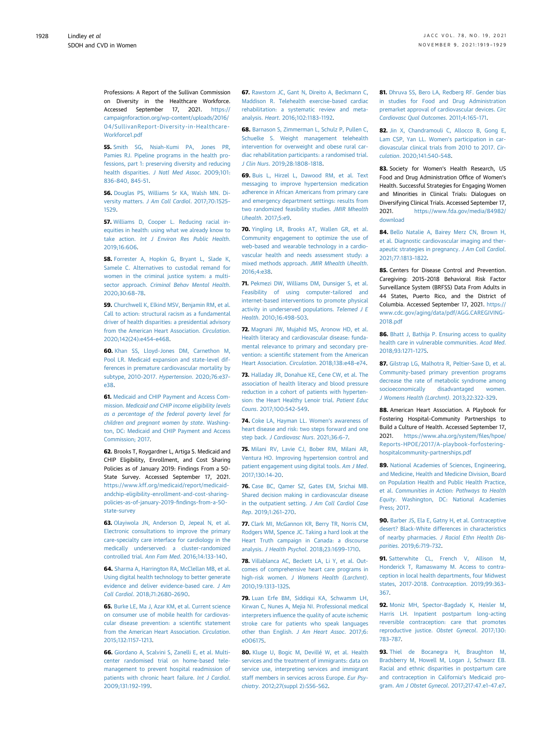Professions: A Report of the Sullivan Commission on Diversity in the Healthcare Workforce. Accessed September 17, 2021. [https://](https://campaignforaction.org/wp-content/uploads/2016/04/SullivanReport-Diversity-in-Healthcare-Workforce1.pdf) [campaignforaction.org/wp-content/uploads/2016/](https://campaignforaction.org/wp-content/uploads/2016/04/SullivanReport-Diversity-in-Healthcare-Workforce1.pdf) [04/SullivanReport-Diversity-in-Healthcare-](https://campaignforaction.org/wp-content/uploads/2016/04/SullivanReport-Diversity-in-Healthcare-Workforce1.pdf)[Workforce1.pdf](https://campaignforaction.org/wp-content/uploads/2016/04/SullivanReport-Diversity-in-Healthcare-Workforce1.pdf)

<span id="page-9-0"></span>55. [Smith SG, Nsiah-Kumi PA, Jones PR,](http://refhub.elsevier.com/S0735-1097(21)06216-1/sref55) [Pamies RJ. Pipeline programs in the health pro](http://refhub.elsevier.com/S0735-1097(21)06216-1/sref55)[fessions, part 1: preserving diversity and reducing](http://refhub.elsevier.com/S0735-1097(21)06216-1/sref55) health disparities. [J Natl Med Assoc](http://refhub.elsevier.com/S0735-1097(21)06216-1/sref55). 2009;101: 836–[840, 845-51.](http://refhub.elsevier.com/S0735-1097(21)06216-1/sref55)

<span id="page-9-1"></span>56. [Douglas PS, Williams Sr KA, Walsh MN. Di](http://refhub.elsevier.com/S0735-1097(21)06216-1/sref56)versity matters. [J Am Coll Cardiol](http://refhub.elsevier.com/S0735-1097(21)06216-1/sref56). 2017;70:1525– [1529](http://refhub.elsevier.com/S0735-1097(21)06216-1/sref56).

<span id="page-9-2"></span>57. [Williams D, Cooper L. Reducing racial in](http://refhub.elsevier.com/S0735-1097(21)06216-1/sref57)[equities in health: using what we already know to](http://refhub.elsevier.com/S0735-1097(21)06216-1/sref57) take action. [Int J Environ Res Public Health](http://refhub.elsevier.com/S0735-1097(21)06216-1/sref57). [2019;16:606](http://refhub.elsevier.com/S0735-1097(21)06216-1/sref57).

<span id="page-9-3"></span>58. [Forrester A, Hopkin G, Bryant L, Slade K,](http://refhub.elsevier.com/S0735-1097(21)06216-1/sref58) [Samele C. Alternatives to custodial remand for](http://refhub.elsevier.com/S0735-1097(21)06216-1/sref58) [women in the criminal justice system: a multi-](http://refhub.elsevier.com/S0735-1097(21)06216-1/sref58)sector approach. [Criminal Behav Mental Health](http://refhub.elsevier.com/S0735-1097(21)06216-1/sref58). [2020;30:68](http://refhub.elsevier.com/S0735-1097(21)06216-1/sref58)–78.

<span id="page-9-4"></span>59. [Churchwell K, Elkind MSV, Benjamin RM, et al.](http://refhub.elsevier.com/S0735-1097(21)06216-1/sref59) [Call to action: structural racism as a fundamental](http://refhub.elsevier.com/S0735-1097(21)06216-1/sref59) [driver of health disparities: a presidential advisory](http://refhub.elsevier.com/S0735-1097(21)06216-1/sref59) [from the American Heart Association.](http://refhub.elsevier.com/S0735-1097(21)06216-1/sref59) Circulation. [2020;142\(24\):e454](http://refhub.elsevier.com/S0735-1097(21)06216-1/sref59)–e468.

<span id="page-9-5"></span>60. [Khan SS, Lloyd-Jones DM, Carnethon M,](http://refhub.elsevier.com/S0735-1097(21)06216-1/sref60) [Pool LR. Medicaid expansion and state-level dif](http://refhub.elsevier.com/S0735-1097(21)06216-1/sref60)[ferences in premature cardiovascular mortality by](http://refhub.elsevier.com/S0735-1097(21)06216-1/sref60) [subtype, 2010-2017.](http://refhub.elsevier.com/S0735-1097(21)06216-1/sref60) Hypertension. 2020;76:e37– [e38.](http://refhub.elsevier.com/S0735-1097(21)06216-1/sref60)

<span id="page-9-6"></span>61. [Medicaid and CHIP Payment and Access Com](http://refhub.elsevier.com/S0735-1097(21)06216-1/sref61)mission. [Medicaid and CHIP income eligibility levels](http://refhub.elsevier.com/S0735-1097(21)06216-1/sref61) [as a percentage of the federal poverty level for](http://refhub.elsevier.com/S0735-1097(21)06216-1/sref61) [children and pregnant women by state](http://refhub.elsevier.com/S0735-1097(21)06216-1/sref61). Washing[ton, DC: Medicaid and CHIP Payment and Access](http://refhub.elsevier.com/S0735-1097(21)06216-1/sref61) [Commission; 2017](http://refhub.elsevier.com/S0735-1097(21)06216-1/sref61).

<span id="page-9-7"></span>62. Brooks T, Roygardner L, Artiga S. Medicaid and CHIP Eligibility, Enrollment, and Cost Sharing Policies as of January 2019: Findings From a 50- State Survey. Accessed September 17, 2021. [https://www.kff.org/medicaid/report/medicaid](https://www.kff.org/medicaid/report/medicaid-andchip-eligibility-enrollment-and-cost-sharing-policies-as-of-january-2019-findings-from-a-50-state-survey)[andchip-eligibility-enrollment-and-cost-sharing](https://www.kff.org/medicaid/report/medicaid-andchip-eligibility-enrollment-and-cost-sharing-policies-as-of-january-2019-findings-from-a-50-state-survey)[policies-as-of-january-2019-](https://www.kff.org/medicaid/report/medicaid-andchip-eligibility-enrollment-and-cost-sharing-policies-as-of-january-2019-findings-from-a-50-state-survey)findings-from-a-50 [state-survey](https://www.kff.org/medicaid/report/medicaid-andchip-eligibility-enrollment-and-cost-sharing-policies-as-of-january-2019-findings-from-a-50-state-survey)

<span id="page-9-8"></span>63. [Olayiwola JN, Anderson D, Jepeal N, et al.](http://refhub.elsevier.com/S0735-1097(21)06216-1/sref63) [Electronic consultations to improve the primary](http://refhub.elsevier.com/S0735-1097(21)06216-1/sref63) [care-specialty care interface for cardiology in the](http://refhub.elsevier.com/S0735-1097(21)06216-1/sref63) [medically underserved: a cluster-randomized](http://refhub.elsevier.com/S0735-1097(21)06216-1/sref63) [controlled trial.](http://refhub.elsevier.com/S0735-1097(21)06216-1/sref63) Ann Fam Med. 2016;14:133–140.

<span id="page-9-9"></span>64. [Sharma A, Harrington RA, McClellan MB, et al.](http://refhub.elsevier.com/S0735-1097(21)06216-1/sref64) [Using digital health technology to better generate](http://refhub.elsevier.com/S0735-1097(21)06216-1/sref64) [evidence and deliver evidence-based care.](http://refhub.elsevier.com/S0735-1097(21)06216-1/sref64) J Am Coll Cardiol[. 2018;71:2680](http://refhub.elsevier.com/S0735-1097(21)06216-1/sref64)–2690.

<span id="page-9-10"></span>65. [Burke LE, Ma J, Azar KM, et al. Current science](http://refhub.elsevier.com/S0735-1097(21)06216-1/sref65) [on consumer use of mobile health for cardiovas](http://refhub.elsevier.com/S0735-1097(21)06216-1/sref65)[cular disease prevention: a scienti](http://refhub.elsevier.com/S0735-1097(21)06216-1/sref65)fic statement [from the American Heart Association.](http://refhub.elsevier.com/S0735-1097(21)06216-1/sref65) Circulation. [2015;132:1157](http://refhub.elsevier.com/S0735-1097(21)06216-1/sref65)–1213.

<span id="page-9-11"></span>66. [Giordano A, Scalvini S, Zanelli E, et al. Multi](http://refhub.elsevier.com/S0735-1097(21)06216-1/sref66)[center randomised trial on home-based tele](http://refhub.elsevier.com/S0735-1097(21)06216-1/sref66)[management to prevent hospital readmission of](http://refhub.elsevier.com/S0735-1097(21)06216-1/sref66) [patients with chronic heart failure.](http://refhub.elsevier.com/S0735-1097(21)06216-1/sref66) Int J Cardiol. [2009;131:192](http://refhub.elsevier.com/S0735-1097(21)06216-1/sref66)–199.

67. [Rawstorn JC, Gant N, Direito A, Beckmann C,](http://refhub.elsevier.com/S0735-1097(21)06216-1/sref67) [Maddison R. Telehealth exercise-based cardiac](http://refhub.elsevier.com/S0735-1097(21)06216-1/sref67) [rehabilitation: a systematic review and meta](http://refhub.elsevier.com/S0735-1097(21)06216-1/sref67)analysis. Heart[. 2016;102:1183](http://refhub.elsevier.com/S0735-1097(21)06216-1/sref67)–1192.

68. [Barnason S, Zimmerman L, Schulz P, Pullen C,](http://refhub.elsevier.com/S0735-1097(21)06216-1/sref68) [Schuelke S. Weight management telehealth](http://refhub.elsevier.com/S0735-1097(21)06216-1/sref68) [intervention for overweight and obese rural car](http://refhub.elsevier.com/S0735-1097(21)06216-1/sref68)[diac rehabilitation participants: a randomised trial.](http://refhub.elsevier.com/S0735-1097(21)06216-1/sref68) J Clin Nurs[. 2019;28:1808](http://refhub.elsevier.com/S0735-1097(21)06216-1/sref68)–1818.

<span id="page-9-12"></span>69. [Buis L, Hirzel L, Dawood RM, et al. Text](http://refhub.elsevier.com/S0735-1097(21)06216-1/sref69) [messaging to improve hypertension medication](http://refhub.elsevier.com/S0735-1097(21)06216-1/sref69) [adherence in African Americans from primary care](http://refhub.elsevier.com/S0735-1097(21)06216-1/sref69) [and emergency department settings: results from](http://refhub.elsevier.com/S0735-1097(21)06216-1/sref69) [two randomized feasibility studies.](http://refhub.elsevier.com/S0735-1097(21)06216-1/sref69) JMIR Mhealth Uhealth[. 2017;5:e9.](http://refhub.elsevier.com/S0735-1097(21)06216-1/sref69)

<span id="page-9-13"></span>70. [Yingling LR, Brooks AT, Wallen GR, et al.](http://refhub.elsevier.com/S0735-1097(21)06216-1/sref70) [Community engagement to optimize the use of](http://refhub.elsevier.com/S0735-1097(21)06216-1/sref70) [web-based and wearable technology in a cardio](http://refhub.elsevier.com/S0735-1097(21)06216-1/sref70)[vascular health and needs assessment study: a](http://refhub.elsevier.com/S0735-1097(21)06216-1/sref70) [mixed methods approach.](http://refhub.elsevier.com/S0735-1097(21)06216-1/sref70) JMIR Mhealth Uhealth. [2016;4:e38.](http://refhub.elsevier.com/S0735-1097(21)06216-1/sref70)

<span id="page-9-14"></span>71. [Pekmezi DW, Williams DM, Dunsiger S, et al.](http://refhub.elsevier.com/S0735-1097(21)06216-1/sref71) [Feasibility of using computer-tailored and](http://refhub.elsevier.com/S0735-1097(21)06216-1/sref71) [internet-based interventions to promote physical](http://refhub.elsevier.com/S0735-1097(21)06216-1/sref71) [activity in underserved populations.](http://refhub.elsevier.com/S0735-1097(21)06216-1/sref71) Telemed J E Health[. 2010;16:498](http://refhub.elsevier.com/S0735-1097(21)06216-1/sref71)–503.

<span id="page-9-15"></span>72. [Magnani JW, Mujahid MS, Aronow HD, et al.](http://refhub.elsevier.com/S0735-1097(21)06216-1/sref72) [Health literacy and cardiovascular disease: funda](http://refhub.elsevier.com/S0735-1097(21)06216-1/sref72)[mental relevance to primary and secondary pre](http://refhub.elsevier.com/S0735-1097(21)06216-1/sref72)vention: a scientifi[c statement from the American](http://refhub.elsevier.com/S0735-1097(21)06216-1/sref72) [Heart Association.](http://refhub.elsevier.com/S0735-1097(21)06216-1/sref72) Circulation. 2018;138:e48–e74.

<span id="page-9-16"></span>73. [Halladay JR, Donahue KE, Cene CW, et al. The](http://refhub.elsevier.com/S0735-1097(21)06216-1/sref73) [association of health literacy and blood pressure](http://refhub.elsevier.com/S0735-1097(21)06216-1/sref73) [reduction in a cohort of patients with hyperten](http://refhub.elsevier.com/S0735-1097(21)06216-1/sref73)[sion: the Heart Healthy Lenoir trial.](http://refhub.elsevier.com/S0735-1097(21)06216-1/sref73) Patient Educ Couns[. 2017;100:542](http://refhub.elsevier.com/S0735-1097(21)06216-1/sref73)–549.

<span id="page-9-17"></span>74. [Coke LA, Hayman LL. Women](http://refhub.elsevier.com/S0735-1097(21)06216-1/sref74)'s awareness of [heart disease and risk: two steps forward and one](http://refhub.elsevier.com/S0735-1097(21)06216-1/sref74) step back. [J Cardiovasc Nurs](http://refhub.elsevier.com/S0735-1097(21)06216-1/sref74). 2021;36:6–7.

<span id="page-9-18"></span>75. [Milani RV, Lavie CJ, Bober RM, Milani AR,](http://refhub.elsevier.com/S0735-1097(21)06216-1/sref75) [Ventura HO. Improving hypertension control and](http://refhub.elsevier.com/S0735-1097(21)06216-1/sref75) [patient engagement using digital tools.](http://refhub.elsevier.com/S0735-1097(21)06216-1/sref75) Am J Med. [2017;130:14](http://refhub.elsevier.com/S0735-1097(21)06216-1/sref75)–20.

<span id="page-9-19"></span>76. [Case BC, Qamer SZ, Gates EM, Srichai MB.](http://refhub.elsevier.com/S0735-1097(21)06216-1/sref76) [Shared decision making in cardiovascular disease](http://refhub.elsevier.com/S0735-1097(21)06216-1/sref76) [in the outpatient setting.](http://refhub.elsevier.com/S0735-1097(21)06216-1/sref76) J Am Coll Cardiol Case Rep[. 2019;1:261](http://refhub.elsevier.com/S0735-1097(21)06216-1/sref76)–270.

<span id="page-9-20"></span>77. [Clark MI, McGannon KR, Berry TR, Norris CM,](http://refhub.elsevier.com/S0735-1097(21)06216-1/sref77) [Rodgers WM, Spence JC. Taking a hard look at the](http://refhub.elsevier.com/S0735-1097(21)06216-1/sref77) [Heart Truth campaign in Canada: a discourse](http://refhub.elsevier.com/S0735-1097(21)06216-1/sref77) analysis. [J Health Psychol](http://refhub.elsevier.com/S0735-1097(21)06216-1/sref77). 2018;23:1699–1710.

<span id="page-9-21"></span>78. [Villablanca AC, Beckett LA, Li Y, et al. Out](http://refhub.elsevier.com/S0735-1097(21)06216-1/sref78)[comes of comprehensive heart care programs in](http://refhub.elsevier.com/S0735-1097(21)06216-1/sref78) high-risk women. [J Womens Health \(Larchmt\)](http://refhub.elsevier.com/S0735-1097(21)06216-1/sref78). [2010;19:1313](http://refhub.elsevier.com/S0735-1097(21)06216-1/sref78)–1325.

<span id="page-9-22"></span>79. [Luan Erfe BM, Siddiqui KA, Schwamm LH,](http://refhub.elsevier.com/S0735-1097(21)06216-1/sref79) [Kirwan C, Nunes A, Mejia NI. Professional medical](http://refhub.elsevier.com/S0735-1097(21)06216-1/sref79) interpreters infl[uence the quality of acute ischemic](http://refhub.elsevier.com/S0735-1097(21)06216-1/sref79) [stroke care for patients who speak languages](http://refhub.elsevier.com/S0735-1097(21)06216-1/sref79) [other than English.](http://refhub.elsevier.com/S0735-1097(21)06216-1/sref79) J Am Heart Assoc. 2017;6: [e006175.](http://refhub.elsevier.com/S0735-1097(21)06216-1/sref79)

<span id="page-9-23"></span>80. [Kluge U, Bogic M, Devillé W, et al. Health](http://refhub.elsevier.com/S0735-1097(21)06216-1/sref80) [services and the treatment of immigrants: data on](http://refhub.elsevier.com/S0735-1097(21)06216-1/sref80) [service use, interpreting services and immigrant](http://refhub.elsevier.com/S0735-1097(21)06216-1/sref80) [staff members in services across Europe.](http://refhub.elsevier.com/S0735-1097(21)06216-1/sref80) Eur Psychiatry[. 2012;27\(suppl 2\):S56](http://refhub.elsevier.com/S0735-1097(21)06216-1/sref80)–S62.

<span id="page-9-24"></span>81. [Dhruva SS, Bero LA, Redberg RF. Gender bias](http://refhub.elsevier.com/S0735-1097(21)06216-1/sref81) [in studies for Food and Drug Administration](http://refhub.elsevier.com/S0735-1097(21)06216-1/sref81) [premarket approval of cardiovascular devices.](http://refhub.elsevier.com/S0735-1097(21)06216-1/sref81) Circ [Cardiovasc Qual Outcomes](http://refhub.elsevier.com/S0735-1097(21)06216-1/sref81). 2011;4:165–171.

<span id="page-9-25"></span>82. [Jin X, Chandramouli C, Allocco B, Gong E,](http://refhub.elsevier.com/S0735-1097(21)06216-1/sref82) [Lam CSP, Yan LL. Women](http://refhub.elsevier.com/S0735-1097(21)06216-1/sref82)'s participation in car[diovascular clinical trials from 2010 to 2017.](http://refhub.elsevier.com/S0735-1097(21)06216-1/sref82) Circulation[. 2020;141:540](http://refhub.elsevier.com/S0735-1097(21)06216-1/sref82)–548.

<span id="page-9-26"></span>83. Society for Women's Health Research, US Food and Drug Administration Office of Women's Health. Successful Strategies for Engaging Women and Minorities in Clinical Trials: Dialogues on Diversifying Clinical Trials. Accessed September 17, 2021. [https://www.fda.gov/media/84982/](https://www.fda.gov/media/84982/download) [download](https://www.fda.gov/media/84982/download)

<span id="page-9-27"></span>84. [Bello Natalie A, Bairey Merz CN, Brown H,](http://refhub.elsevier.com/S0735-1097(21)06216-1/sref84) [et al. Diagnostic cardiovascular imaging and ther](http://refhub.elsevier.com/S0735-1097(21)06216-1/sref84)[apeutic strategies in pregnancy.](http://refhub.elsevier.com/S0735-1097(21)06216-1/sref84) J Am Coll Cardiol. [2021;77:1813](http://refhub.elsevier.com/S0735-1097(21)06216-1/sref84)–1822.

<span id="page-9-28"></span>85. Centers for Disease Control and Prevention. Caregiving: 2015-2018 Behavioral Risk Factor Surveillance System (BRFSS) Data From Adults in 44 States, Puerto Rico, and the District of Columbia. Accessed September 17, 2021. [https://](https://www.cdc.gov/aging/data/pdf/AGG.CAREGIVING-2018.pdf) [www.cdc.gov/aging/data/pdf/AGG.CAREGIVING-](https://www.cdc.gov/aging/data/pdf/AGG.CAREGIVING-2018.pdf)[2018.pdf](https://www.cdc.gov/aging/data/pdf/AGG.CAREGIVING-2018.pdf)

<span id="page-9-29"></span>86. [Bhatt J, Bathija P. Ensuring access to quality](http://refhub.elsevier.com/S0735-1097(21)06216-1/sref86) [health care in vulnerable communities.](http://refhub.elsevier.com/S0735-1097(21)06216-1/sref86) Acad Med. [2018;93:1271](http://refhub.elsevier.com/S0735-1097(21)06216-1/sref86)–1275.

<span id="page-9-30"></span>87. [Gilstrap LG, Malhotra R, Peltier-Saxe D, et al.](http://refhub.elsevier.com/S0735-1097(21)06216-1/sref87) [Community-based primary prevention programs](http://refhub.elsevier.com/S0735-1097(21)06216-1/sref87) [decrease the rate of metabolic syndrome among](http://refhub.elsevier.com/S0735-1097(21)06216-1/sref87) [socioeconomically disadvantaged women.](http://refhub.elsevier.com/S0735-1097(21)06216-1/sref87) [J Womens Health \(Larchmt\)](http://refhub.elsevier.com/S0735-1097(21)06216-1/sref87). 2013;22:322–329.

<span id="page-9-31"></span>88. American Heart Association. A Playbook for Fostering Hospital–Community Partnerships to Build a Culture of Health. Accessed September 17, 2021. [https://www.aha.org/system/](https://www.aha.org/system/files/hpoe/Reports-HPOE/2017/A-playbook-forfostering-hospitalcommunity-partnerships.pdf)files/hpoe/ [Reports-HPOE/2017/A-playbook-forfostering](https://www.aha.org/system/files/hpoe/Reports-HPOE/2017/A-playbook-forfostering-hospitalcommunity-partnerships.pdf)[hospitalcommunity-partnerships.pdf](https://www.aha.org/system/files/hpoe/Reports-HPOE/2017/A-playbook-forfostering-hospitalcommunity-partnerships.pdf)

<span id="page-9-32"></span>89. National Academies of Sciences, Engineering [and Medicine, Health and Medicine Division, Board](http://refhub.elsevier.com/S0735-1097(21)06216-1/sref89) [on Population Health and Public Health Practice,](http://refhub.elsevier.com/S0735-1097(21)06216-1/sref89) et al. [Communities in Action: Pathways to Health](http://refhub.elsevier.com/S0735-1097(21)06216-1/sref89) Equity[. Washington, DC: National Academies](http://refhub.elsevier.com/S0735-1097(21)06216-1/sref89) [Press; 2017](http://refhub.elsevier.com/S0735-1097(21)06216-1/sref89).

<span id="page-9-33"></span>90. [Barber JS, Ela E, Gatny H, et al. Contraceptive](http://refhub.elsevier.com/S0735-1097(21)06216-1/sref90) [desert? Black-White differences in characteristics](http://refhub.elsevier.com/S0735-1097(21)06216-1/sref90) of nearby pharmacies. [J Racial Ethn Health Dis](http://refhub.elsevier.com/S0735-1097(21)06216-1/sref90)parities[. 2019;6:719](http://refhub.elsevier.com/S0735-1097(21)06216-1/sref90)–732.

<span id="page-9-34"></span>91. [Satterwhite CL, French V, Allison M,](http://refhub.elsevier.com/S0735-1097(21)06216-1/sref91) [Honderick T, Ramaswamy M. Access to contra](http://refhub.elsevier.com/S0735-1097(21)06216-1/sref91)[ception in local health departments, four Midwest](http://refhub.elsevier.com/S0735-1097(21)06216-1/sref91) [states, 2017-2018.](http://refhub.elsevier.com/S0735-1097(21)06216-1/sref91) Contraception. 2019;99:363– [367.](http://refhub.elsevier.com/S0735-1097(21)06216-1/sref91)

<span id="page-9-35"></span>92. [Moniz MH, Spector-Bagdady K, Heisler M,](http://refhub.elsevier.com/S0735-1097(21)06216-1/sref92) [Harris LH. Inpatient postpartum long-acting](http://refhub.elsevier.com/S0735-1097(21)06216-1/sref92) [reversible contraception: care that promotes](http://refhub.elsevier.com/S0735-1097(21)06216-1/sref92) [reproductive justice.](http://refhub.elsevier.com/S0735-1097(21)06216-1/sref92) Obstet Gynecol. 2017;130: 783–[787](http://refhub.elsevier.com/S0735-1097(21)06216-1/sref92).

<span id="page-9-36"></span>93. [Thiel de Bocanegra H, Braughton M,](http://refhub.elsevier.com/S0735-1097(21)06216-1/sref93) [Bradsberry M, Howell M, Logan J, Schwarz EB.](http://refhub.elsevier.com/S0735-1097(21)06216-1/sref93) [Racial and ethnic disparities in postpartum care](http://refhub.elsevier.com/S0735-1097(21)06216-1/sref93) [and contraception in California](http://refhub.elsevier.com/S0735-1097(21)06216-1/sref93)'s Medicaid program. [Am J Obstet Gynecol](http://refhub.elsevier.com/S0735-1097(21)06216-1/sref93). 2017;217:47.e1–47.e7.